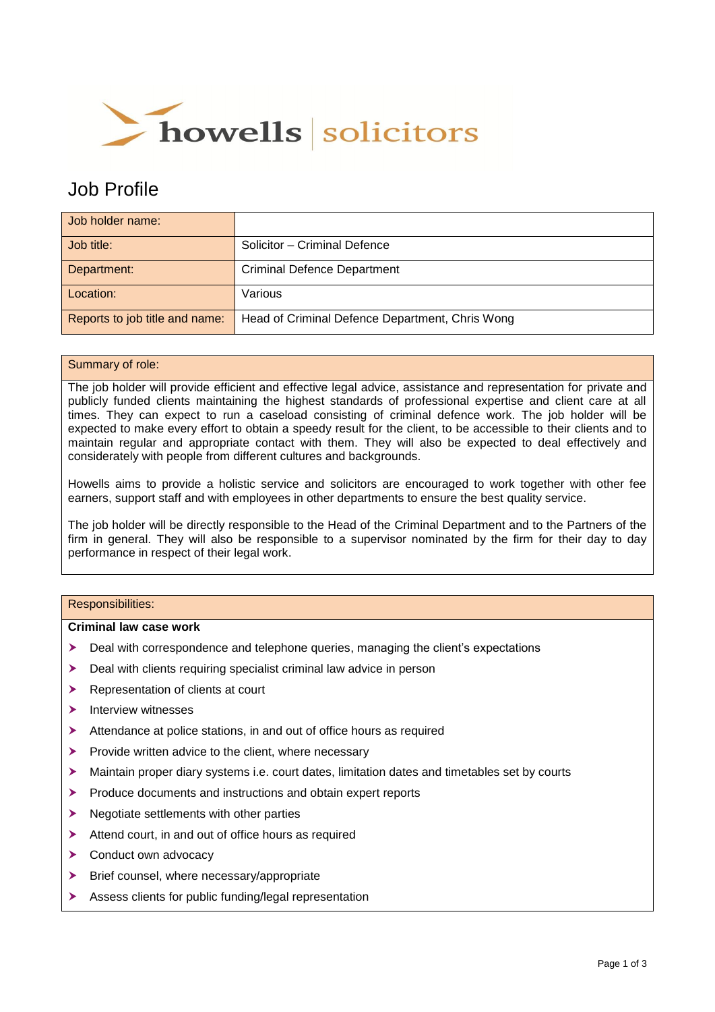

# Job Profile

| Job holder name:               |                                                 |
|--------------------------------|-------------------------------------------------|
| Job title:                     | Solicitor - Criminal Defence                    |
| Department:                    | <b>Criminal Defence Department</b>              |
| Location:                      | Various                                         |
| Reports to job title and name: | Head of Criminal Defence Department, Chris Wong |

## Summary of role:

The job holder will provide efficient and effective legal advice, assistance and representation for private and publicly funded clients maintaining the highest standards of professional expertise and client care at all times. They can expect to run a caseload consisting of criminal defence work. The job holder will be expected to make every effort to obtain a speedy result for the client, to be accessible to their clients and to maintain regular and appropriate contact with them. They will also be expected to deal effectively and considerately with people from different cultures and backgrounds.

Howells aims to provide a holistic service and solicitors are encouraged to work together with other fee earners, support staff and with employees in other departments to ensure the best quality service.

The job holder will be directly responsible to the Head of the Criminal Department and to the Partners of the firm in general. They will also be responsible to a supervisor nominated by the firm for their day to day performance in respect of their legal work.

## Responsibilities:

#### **Criminal law case work**

- Deal with correspondence and telephone queries, managing the client's expectations
- $\blacktriangleright$  Deal with clients requiring specialist criminal law advice in person
- Representation of clients at court
- $\blacktriangleright$  Interview witnesses
- Attendance at police stations, in and out of office hours as required
- $\triangleright$  Provide written advice to the client, where necessary
- $\blacktriangleright$  Maintain proper diary systems i.e. court dates, limitation dates and timetables set by courts
- Produce documents and instructions and obtain expert reports
- $\blacktriangleright$  Negotiate settlements with other parties
- Attend court, in and out of office hours as required
- > Conduct own advocacy
- $\triangleright$  Brief counsel, where necessary/appropriate
- Assess clients for public funding/legal representation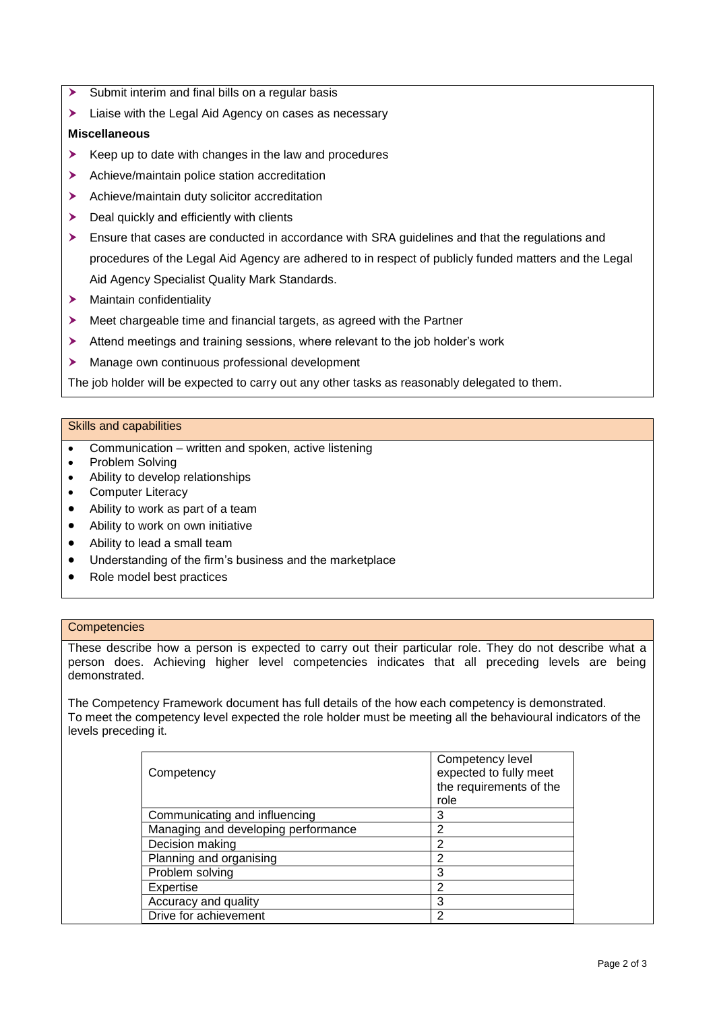- Submit interim and final bills on a regular basis
- Eliaise with the Legal Aid Agency on cases as necessary

#### **Miscellaneous**

- $\triangleright$  Keep up to date with changes in the law and procedures
- Achieve/maintain police station accreditation
- Achieve/maintain duty solicitor accreditation
- $\blacktriangleright$  Deal quickly and efficiently with clients
- **Ensure that cases are conducted in accordance with SRA guidelines and that the regulations and** procedures of the Legal Aid Agency are adhered to in respect of publicly funded matters and the Legal Aid Agency Specialist Quality Mark Standards.
- > Maintain confidentiality
- **>** Meet chargeable time and financial targets, as agreed with the Partner
- Attend meetings and training sessions, where relevant to the job holder's work
- Manage own continuous professional development

The job holder will be expected to carry out any other tasks as reasonably delegated to them.

#### Skills and capabilities

- Communication written and spoken, active listening
- Problem Solving
- Ability to develop relationships
- Computer Literacy
- Ability to work as part of a team
- Ability to work on own initiative
- Ability to lead a small team
- Understanding of the firm's business and the marketplace
- Role model best practices

#### **Competencies**

These describe how a person is expected to carry out their particular role. They do not describe what a person does. Achieving higher level competencies indicates that all preceding levels are being demonstrated.

The Competency Framework document has full details of the how each competency is demonstrated. To meet the competency level expected the role holder must be meeting all the behavioural indicators of the levels preceding it.

| Competency                          | Competency level<br>expected to fully meet<br>the requirements of the<br>role |
|-------------------------------------|-------------------------------------------------------------------------------|
| Communicating and influencing       | 3                                                                             |
| Managing and developing performance | 2                                                                             |
| Decision making                     | ာ                                                                             |
| Planning and organising             | 2                                                                             |
| Problem solving                     | 3                                                                             |
| Expertise                           | າ                                                                             |
| Accuracy and quality                | 3                                                                             |
| Drive for achievement               |                                                                               |